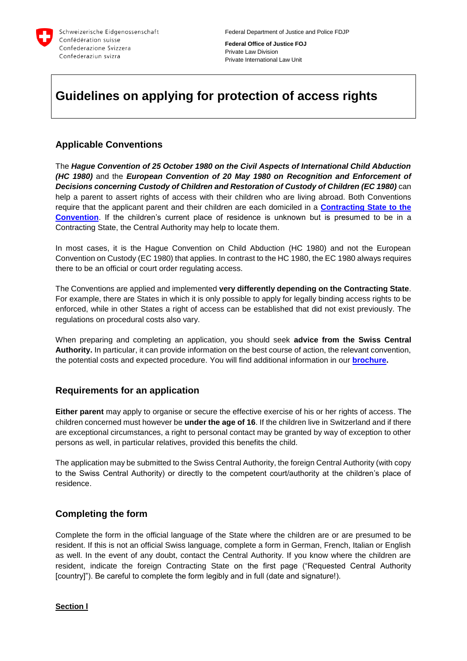

**Federal Office of Justice FOJ** Private Law Division Private International Law Unit

# **Guidelines on applying for protection of access rights**

# **Applicable Conventions**

The *Hague Convention of 25 October 1980 on the Civil Aspects of International Child Abduction (HC 1980)* and the *European Convention of 20 May 1980 on Recognition and Enforcement of Decisions concerning Custody of Children and Restoration of Custody of Children (EC 1980)* can help a parent to assert rights of access with their children who are living abroad. Both Conventions require that the applicant parent and their children are each domiciled in a **[Contracting State to the](https://www.bj.admin.ch/dam/data/bj/gesellschaft/kindesentfuehrung/verfahren/hue-vertragsstaaten-e.pdf)  [Convention](https://www.bj.admin.ch/dam/data/bj/gesellschaft/kindesentfuehrung/verfahren/hue-vertragsstaaten-e.pdf)**. If the children's current place of residence is unknown but is presumed to be in a Contracting State, the Central Authority may help to locate them.

In most cases, it is the Hague Convention on Child Abduction (HC 1980) and not the European Convention on Custody (EC 1980) that applies. In contrast to the HC 1980, the EC 1980 always requires there to be an official or court order regulating access.

The Conventions are applied and implemented **very differently depending on the Contracting State**. For example, there are States in which it is only possible to apply for legally binding access rights to be enforced, while in other States a right of access can be established that did not exist previously. The regulations on procedural costs also vary.

When preparing and completing an application, you should seek **advice from the Swiss Central Authority.** In particular, it can provide information on the best course of action, the relevant convention, the potential costs and expected procedure. You will find additional information in our **[brochure.](https://www.bj.admin.ch/dam/data/bj/gesellschaft/kindesentfuehrung/bro-kindsentfuehrung-e.pdf)**

# **Requirements for an application**

**Either parent** may apply to organise or secure the effective exercise of his or her rights of access. The children concerned must however be **under the age of 16**. If the children live in Switzerland and if there are exceptional circumstances, a right to personal contact may be granted by way of exception to other persons as well, in particular relatives, provided this benefits the child.

The application may be submitted to the Swiss Central Authority, the foreign Central Authority (with copy to the Swiss Central Authority) or directly to the competent court/authority at the children's place of residence.

# **Completing the form**

Complete the form in the official language of the State where the children are or are presumed to be resident. If this is not an official Swiss language, complete a form in German, French, Italian or English as well. In the event of any doubt, contact the Central Authority. If you know where the children are resident, indicate the foreign Contracting State on the first page ("Requested Central Authority [country]"). Be careful to complete the form legibly and in full (date and signature!).

### **Section l**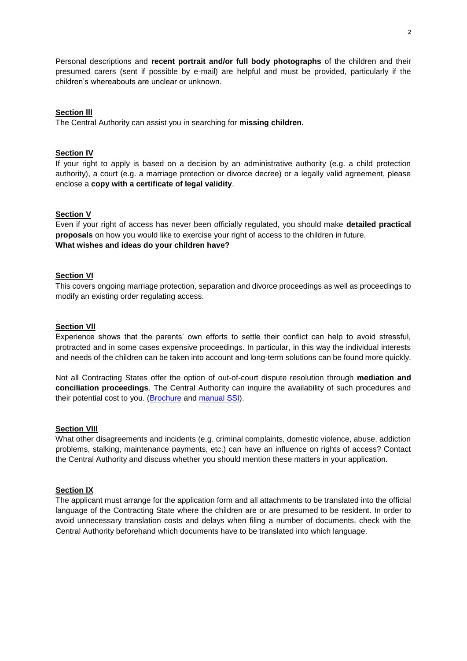Personal descriptions and **recent portrait and/or full body photographs** of the children and their presumed carers (sent if possible by e-mail) are helpful and must be provided, particularly if the children's whereabouts are unclear or unknown.

#### **Section lll**

The Central Authority can assist you in searching for **missing children.**

#### **Section IV**

If your right to apply is based on a decision by an administrative authority (e.g. a child protection authority), a court (e.g. a marriage protection or divorce decree) or a legally valid agreement, please enclose a **copy with a certificate of legal validity**.

#### **Section V**

Even if your right of access has never been officially regulated, you should make **detailed practical proposals** on how you would like to exercise your right of access to the children in future. **What wishes and ideas do your children have?**

#### **Section VI**

This covers ongoing marriage protection, separation and divorce proceedings as well as proceedings to modify an existing order regulating access.

### **Section Vll**

Experience shows that the parents' own efforts to settle their conflict can help to avoid stressful, protracted and in some cases expensive proceedings. In particular, in this way the individual interests and needs of the children can be taken into account and long-term solutions can be found more quickly.

Not all Contracting States offer the option of out-of-court dispute resolution through **mediation and conciliation proceedings**. The Central Authority can inquire the availability of such procedures and their potential cost to you. [\(Brochure](https://www.bj.admin.ch/dam/data/bj/gesellschaft/kindesentfuehrung/bro-kindsentfuehrung-e.pdf) and [manual](https://www.bj.admin.ch/dam/data/bj/gesellschaft/kindesentfuehrung/lf-ssi-familienkonflikte-e.pdf) SSI).

#### **Section Vlll**

What other disagreements and incidents (e.g. criminal complaints, domestic violence, abuse, addiction problems, stalking, maintenance payments, etc.) can have an influence on rights of access? Contact the Central Authority and discuss whether you should mention these matters in your application.

### **Section lX**

The applicant must arrange for the application form and all attachments to be translated into the official language of the Contracting State where the children are or are presumed to be resident. In order to avoid unnecessary translation costs and delays when filing a number of documents, check with the Central Authority beforehand which documents have to be translated into which language.